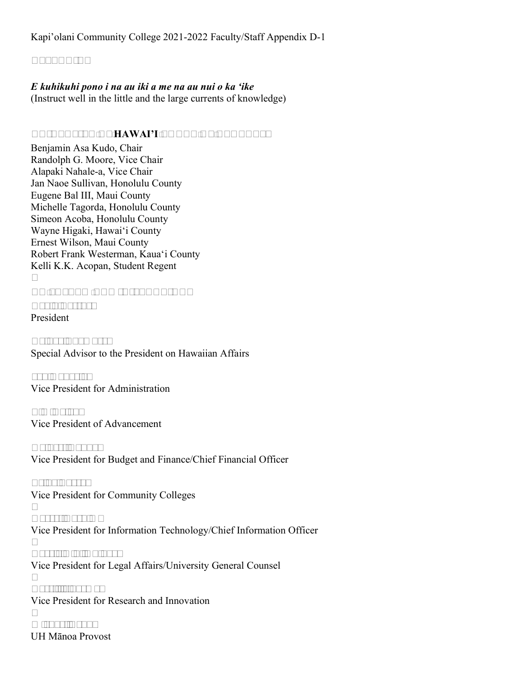# **APPENDIX**

#### *E kuhikuhi pono i na au iki a me na au nui o ka 'ike*

(Instruct well in the little and the large currents of knowledge)

## **UNIVERSITY OF HAWAI'I BOARD OF REGENTS**

Benjamin Asa Kudo, Chair Randolph G. Moore, Vice Chair Alapaki Nahale-a, Vice Chair Jan Naoe Sullivan, Honolulu County Eugene Bal III, Maui County Michelle Tagorda, Honolulu County Simeon Acoba, Honolulu County Wayne Higaki, Hawai'i County Ernest Wilson, Maui County Robert Frank Westerman, Kaua'i County Kelli K.K. Acopan, Student Regent

## **UH SYSTEM ADMINISTRATION**

**David Lassner** President

**Nainoa Thompson** Special Advisor to the President on Hawaiian Affairs

**Jan Gouveia**  Vice President for Administration

**Tim Dolan**  Vice President of Advancement

**Kalbert Young**  Vice President for Budget and Finance/Chief Financial Officer

**Erika Lacro**  Vice President for Community Colleges

**Garret Yoshimi** Vice President for Information Technology/Chief Information Officer

**Carrie K.S. Okinaga** Vice President for Legal Affairs/University General Counsel

**Vassillis Syrmos** Vice President for Research and Innovation

**Michael Bruno** UH Mānoa Provost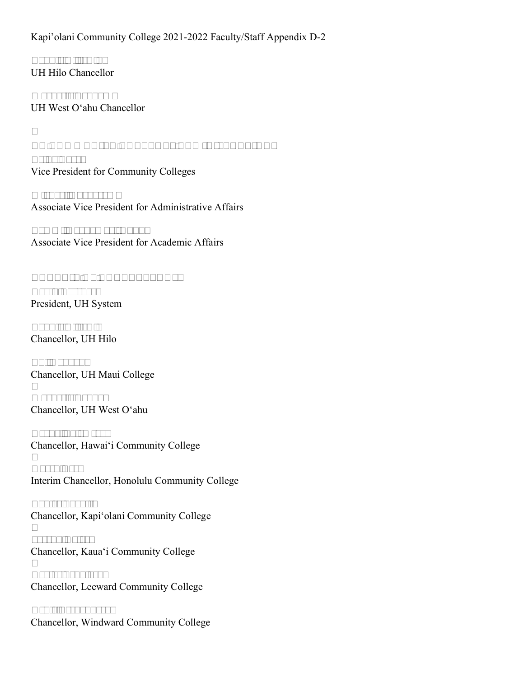**Bonnie D. Irwin**  UH Hilo Chancellor

**Maenette Benham**  UH West O'ahu Chancellor

#### **UH COMMUNITY COLLEGES ADMINISTRATION**

**Erika Lacro** Vice President for Community Colleges

**Michael Unebasami** Associate Vice President for Administrative Affairs

**Tammi Oyadomari-Chun** Associate Vice President for Academic Affairs

# **COUNCIL OF CHANCELLORS**

**David Lassner**  President, UH System

**Bonnie D. Irwin** Chancellor, UH Hilo

**Lui Hokoana** Chancellor, UH Maui College

**Maenette Benham** Chancellor, UH West O'ahu

**Rachel Solemsaas** Chancellor, Hawai'i Community College

**Karen Lee**  Interim Chancellor, Honolulu Community College

**Louise Pagotto** Chancellor, Kapi'olani Community College

**Joseph Daisy**  Chancellor, Kaua'i Community College

**Carlos Peñaloza**  Chancellor, Leeward Community College

**Ardis Eschenberg**  Chancellor, Windward Community College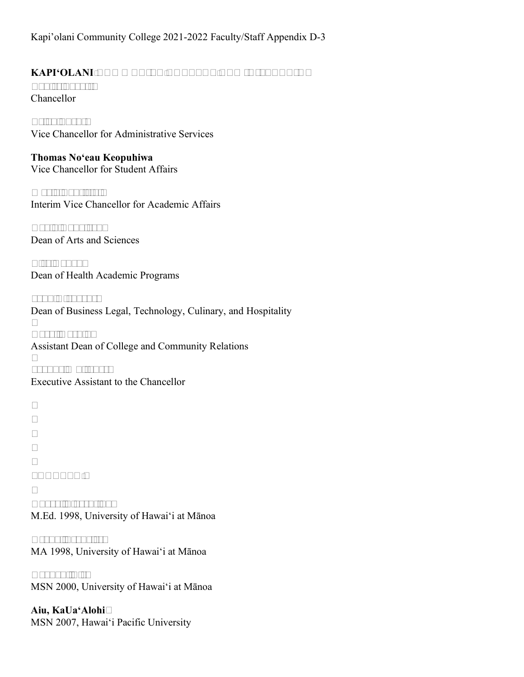# **KAPI'OLANI COMMUNITY COLLEGE ADMINISTRATION**

**Louise Pagotto** Chancellor

**Brian Furuto** Vice Chancellor for Administrative Services

**Thomas No'eau Keopuhiwa** Vice Chancellor for Student Affairs

**Maria Bautista**  Interim Vice Chancellor for Academic Affairs

**David Napoleon**  Dean of Arts and Sciences

**Lisa Radak**  Dean of Health Academic Programs

**John Richards**  Dean of Business Legal, Technology, Culinary, and Hospitality

**Carol Hoshiko** Assistant Dean of College and Community Relations

**Joanne Whitaker**  Executive Assistant to the Chancellor

## **FACULTY**

**Abara, Florentino**  M.Ed. 1998, University of Hawai'i at Mānoa

**Acoba, Francisco** MA 1998, University of Hawai'i at Mānoa

**Aganon, Lisa** MSN 2000, University of Hawai'i at Mānoa

**Aiu, KaUa'Alohi** MSN 2007, Hawai'i Pacific University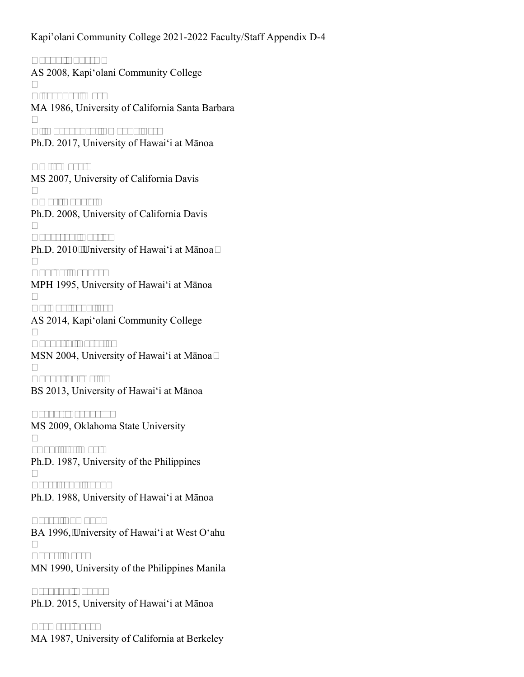**Akana, Andrew**  AS 2008, Kapi'olani Community College

**Alexander, Mark** MA 1986, University of California Santa Barbara

**Alimboyoguen, Amanda Lee**  Ph.D. 2017, University of Hawai'i at Mānoa

**Amii, Marci**  MS 2007, University of California Davis

**Amos, Gabriel**  Ph.D. 2008, University of California Davis

**Anderson, Austin**  Ph.D. 2010**,** University of Hawai'i at Mānoa

**Aquino, Rodney**  MPH 1995, University of Hawai'i at Mānoa

**Au Hoy, Jennifer**  AS 2014, Kapi'olani Community College

**Augustin, Rosario**  MSN 2004, University of Hawai'i at Mānoa

**Augustine, Kelie**  BS 2013, University of Hawai'i at Mānoa

**Barnes, Leaugeay**  MS 2009, Oklahoma State University

**\*Bautista, Maria** Ph.D. 1987, University of the Philippines

**Berestecky, John**  Ph.D. 1988, University of Hawai'i at Mānoa

**Borza, Edmund**  BA 1996, University of Hawai'i at West O'ahu

**Boyer, Karen** MN 1990, University of the Philippines Manila

**Branson, Candy**  Ph.D. 2015, University of Hawai'i at Mānoa

**Bremser, Sarah** MA 1987, University of California at Berkeley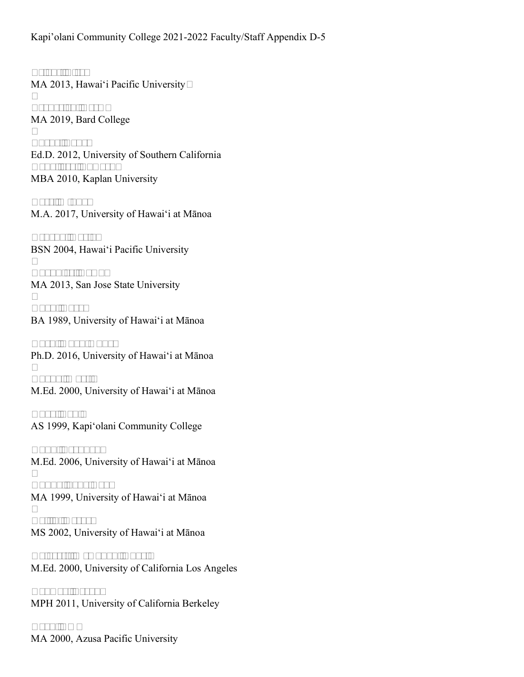**Bright, Lisa**  MA 2013, Hawai'i Pacific University

**Broderick, Drew**  MA 2019, Bard College

**Burke, Laure** Ed.D. 2012, University of Southern California **Caballero, Edward**  MBA 2010, Kaplan University

**Case, Mindy**  M.A. 2017, University of Hawai'i at Mānoa

**Cepeda, Karla**  BSN 2004, Hawai'i Pacific University

**Chandler, Dawn**  MA 2013, San Jose State University

**Chau, Aaron** BA 1989, University of Hawai'i at Mānoa

**Chen, Kuan-Hung**  Ph.D. 2016, University of Hawai'i at Mānoa

**Chong, Martin** M.Ed. 2000, University of Hawai'i at Mānoa

**Choy, Toni**  AS 1999, Kapi'olani Community College

**Chun, Brandon**  M.Ed. 2006, University of Hawai'i at Mānoa

**Chung, Sang Don**  MA 1999, University of Hawai'i at Mānoa

**Collin, Herve**  MS 2002, University of Hawai'i at Mānoa

**Coloretti McGough, Angela** M.Ed. 2000, University of California Los Angeles

**Conway, Brooke** MPH 2011, University of California Berkeley

**Cook, Amy** MA 2000, Azusa Pacific University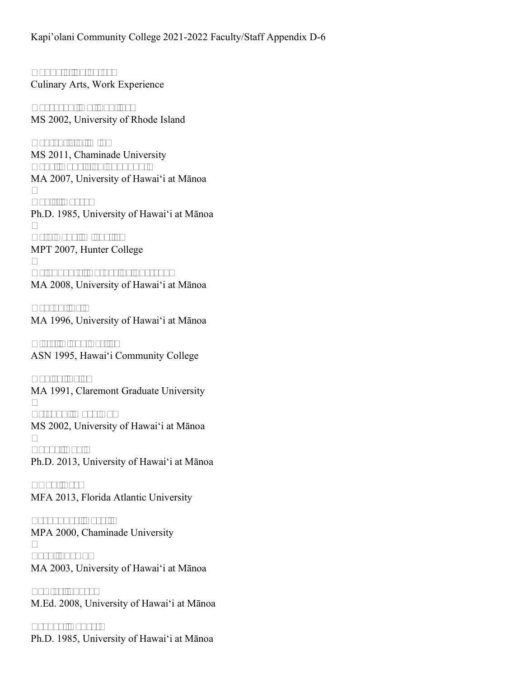**Coppola, Salvatore** Culinary Arts, Work Experience

**Corcoran, Hal Paul Jr**  MS 2002, University of Rhode Island

**Crutchfield, Miki** MS 2011, Chaminade University **Cruz, Kahelelaniokahakai**  MA 2007, University of Hawai'i at Mānoa

**Davis, Harry**  Ph.D. 1985, University of Hawai'i at Mānoa

**Dela Cruz, Michelle**  MPT 2007, Hunter College

**DelaFuente, Catherine Porscha**  MA 2008, University of Hawai'i at Mānoa

**Denton, Eric** MA 1996, University of Hawai'i at Mānoa

**Dietz, Diana Leslie**  ASN 1995, Hawai'i Community College

**Dooley, Leigh** MA 1991, Claremont Graduate University

**Esteban, Mary Ann** MS 2002, University of Hawai'i at Mānoa

**Evans, David** Ph.D. 2013, University of Hawai'i at Mānoa

**Ewan, Beau** MFA 2013, Florida Atlantic University

**Fernandez, Rosalie** MPA 2000, Chaminade University

**Ford, Shawn**  MA 2003, University of Hawai'i at Mānoa

**Fowler, Sharon** M.Ed. 2008, University of Hawai'i at Mānoa

**Franco, Robert**  Ph.D. 1985, University of Hawai'i at Mānoa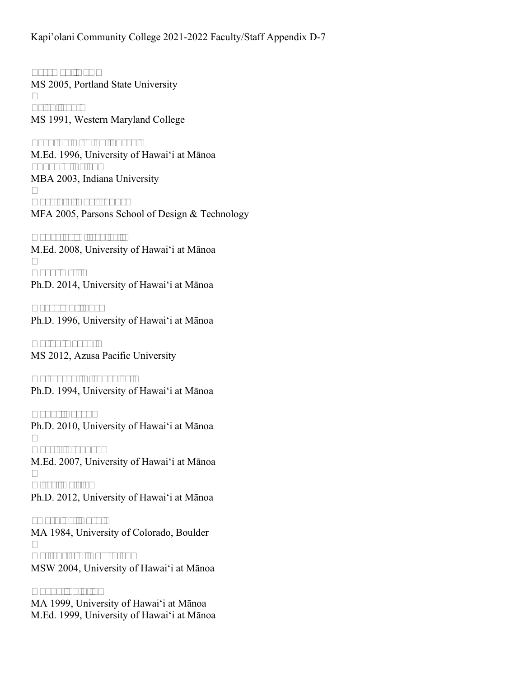**Freeman, Dawn** MS 2005, Portland State University

**Fried, Jan**  MS 1991, Western Maryland College

**Fuchino-Nishida, Sheryl**  M.Ed. 1996, University of Hawai'i at Mānoa **\*Furuto, Brian**  MBA 2003, Indiana University

**Gargiulo, Christopher** MFA 2005, Parsons School of Design & Technology

**Gonzales, Alfred Jr.**  M.Ed. 2008, University of Hawai'i at Mānoa

**Goya, Kelli**  Ph.D. 2014, University of Hawai'i at Mānoa

**Gross, Philippe**  Ph.D. 1996, University of Hawai'i at Mānoa

**Halley, Logan**  MS 2012, Azusa Pacific University

**Halverson, Richard Jr.**  Ph.D. 1994, University of Hawai'i at Mānoa

**Hanai, Aaron**  Ph.D. 2010, University of Hawai'i at Mānoa

**Harris, Stephen**  M.Ed. 2007, University of Hawai'i at Mānoa

**Hiser, Krista**  Ph.D. 2012, University of Hawai'i at Mānoa

**\*Hoshiko, Carol**  MA 1984, University of Colorado, Boulder

**Hottenstein, Crystalyn**  MSW 2004, University of Hawai'i at Mānoa

**Huang, Shiuling** MA 1999, University of Hawai'i at Mānoa M.Ed. 1999, University of Hawai'i at Mānoa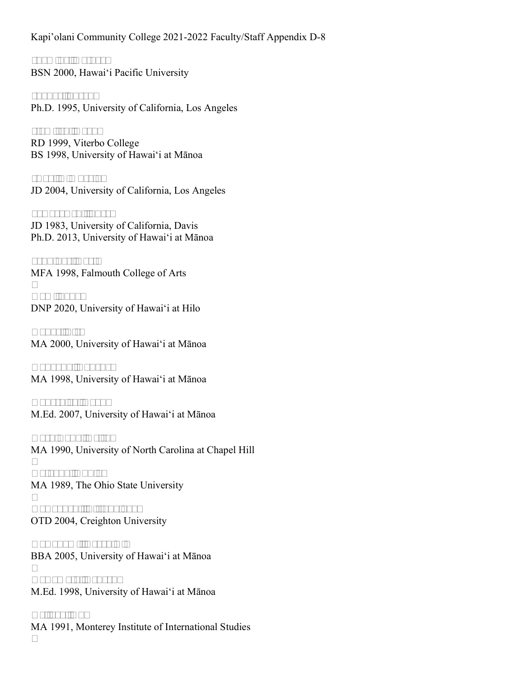**Inamine, Kathryn** BSN 2000, Hawai'i Pacific University

**Inouye, Susan**  Ph.D. 1995, University of California, Los Angeles

**Itomitsu, Grant** RD 1999, Viterbo College BS 1998, University of Hawai'i at Mānoa

**Iwao, Kimberly**  JD 2004, University of California, Los Angeles

**Jaworowski, Susan** JD 1983, University of California, Davis Ph.D. 2013, University of Hawai'i at Mānoa

**Jennings, Carl**  MFA 1998, Falmouth College of Arts

**Kam, Saba**  DNP 2020, University of Hawai'i at Hilo

**Kanae, Lisa** MA 2000, University of Hawai'i at Mānoa

**Kanaoka, Yoneko**  MA 1998, University of Hawai'i at Mānoa

**Kaneshiro, Dyan**  M.Ed. 2007, University of Hawai'i at Mānoa

**Kashiwada, Keith**  MA 1990, University of North Carolina at Chapel Hill

**Kataoka, Yukio**  MA 1989, The Ohio State University

**Kawaguchi, Tiffany Joy**  OTD 2004, Creighton University

**Kawakami, Derek A.**  BBA 2005, University of Hawai'i at Mānoa

**Kawamoto, Deneen**  M.Ed. 1998, University of Hawai'i at Mānoa

**Kellogg, Guy** MA 1991, Monterey Institute of International Studies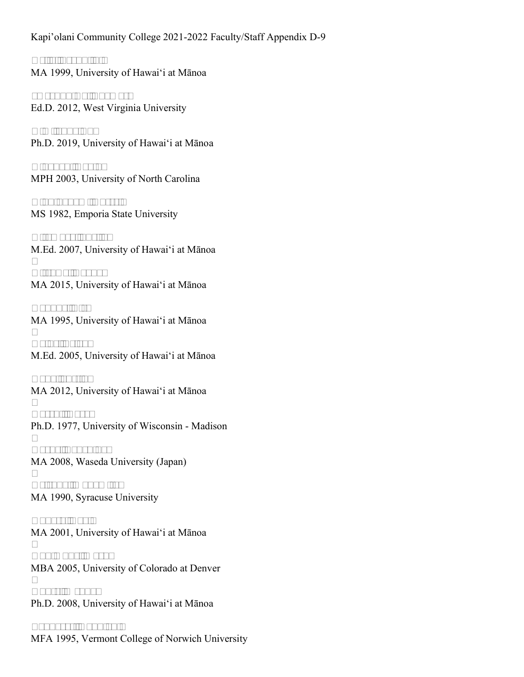**Kelly, Franklin**  MA 1999, University of Hawai'i at Mānoa

**\*Keopuhiwa, Thomas**  Ed.D. 2012, West Virginia University

**Kim, Jung Eun** Ph.D. 2019, University of Hawai'i at Mānoa

**Kingdon, David**  MPH 2003, University of North Carolina

**Kinningham, Russell** MS 1982, Emporia State University

**Kitamura, Sheila**  M.Ed. 2007, University of Hawai'i at Mānoa

**Kitsuwa, Dayna**  MA 2015, University of Hawai'i at Mānoa

**Kobuke, Lisa** MA 1995, University of Hawai'i at Mānoa

**Koide, Trixy**  M.Ed. 2005, University of Hawai'i at Mānoa

**Kong, Justin**  MA 2012, University of Hawai'i at Mānoa

**Koseki, Aaron** Ph.D. 1977, University of Wisconsin - Madison

**Kozue, Takehiko**  MA 2008, Waseda University (Japan)

**Krishna, Monomita**  MA 1990, Syracuse University

**Kubota, Davin** MA 2001, University of Hawai'i at Mānoa

**Kunimune, Mark**  MBA 2005, University of Colorado at Denver

**Kuntz, Wendy**  Ph.D. 2008, University of Hawai'i at Mānoa

**Landgraf, Kapulani**  MFA 1995, Vermont College of Norwich University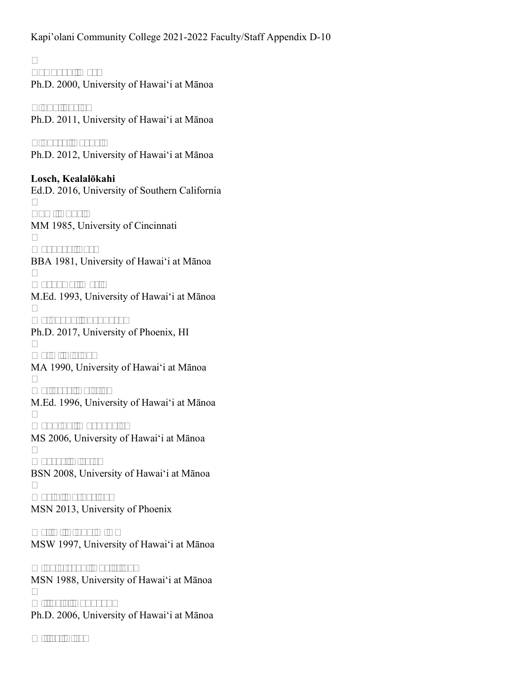**Lawhorn, Mark** Ph.D. 2000, University of Hawai'i at Mānoa

**Lindo, Jaclyn** Ph.D. 2011, University of Hawai'i at Mānoa

**Lindsey, Rachel**  Ph.D. 2012, University of Hawai'i at Mānoa

**Losch, Kealalōkahi** Ed.D. 2016, University of Southern California

**Lum, Anne**  MM 1985, University of Cincinnati

**Maehara, Lori** BBA 1981, University of Hawai'i at Mānoa

**Maekawa, Wesly** M.Ed. 1993, University of Hawai'i at Mānoa

**Maingano, Shepherd**  Ph.D. 2017, University of Phoenix, HI

**Malm, Elaina**  MA 1990, University of Hawai'i at Mānoa

**Malterre, Kristie**  M.Ed. 1996, University of Hawai'i at Mānoa

**Manning, Mackenzie**  MS 2006, University of Hawai'i at Mānoa

**Marcos, Nicole**  BSN 2008, University of Hawai'i at Mānoa

**Marin, Catherine**  MSN 2013, University of Phoenix

**Melim, Cindy M K**  MSW 1997, University of Hawai'i at Mānoa

**Mikolajczyk, Christina**  MSN 1988, University of Hawai'i at Mānoa

**Milincic, Radovan**  Ph.D. 2006, University of Hawai'i at Mānoa

**Miller, Lisa**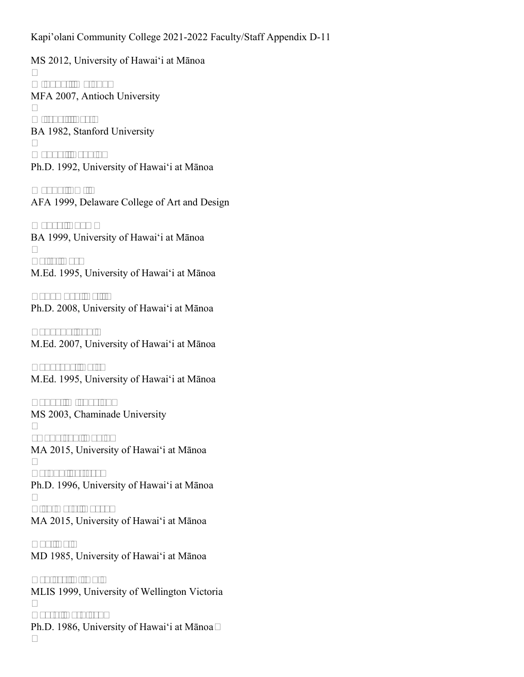MS 2012, University of Hawai'i at Mānoa

**Minahal, Maiana**  MFA 2007, Antioch University

**Mitchell, Teri**  BA 1982, Stanford University

**Modavi, Neghin**  Ph.D. 1992, University of Hawai'i at Mānoa

**Moody, Emily** AFA 1999, Delaware College of Art and Design

**Moura, Adam**  BA 1999, University of Hawai'i at Mānoa

**Naito, Karl** M.Ed. 1995, University of Hawai'i at Mānoa

**Nakamura, Kelli**  Ph.D. 2008, University of Hawai'i at Mānoa

**Nakaoka, Jodi**  M.Ed. 2007, University of Hawai'i at Mānoa

**Nakasone, Dale**  M.Ed. 1995, University of Hawai'i at Mānoa

**Nakoa, Michaelyn**  MS 2003, Chaminade University

**\*Napoleon, David**  MA 2015, University of Hawai'i at Mānoa

**Nathan, Jeffrey**  Ph.D. 1996, University of Hawai'i at Mānoa

**Nishimoto, Korey**  MA 2015, University of Hawai'i at Mānoa

**Oda, Dale** MD 1985, University of Hawai'i at Mānoa

**Oehlers, Ai-Chin** MLIS 1999, University of Wellington Victoria

**Ogata, Kathleen**  Ph.D. 1986, University of Hawai'i at Mānoa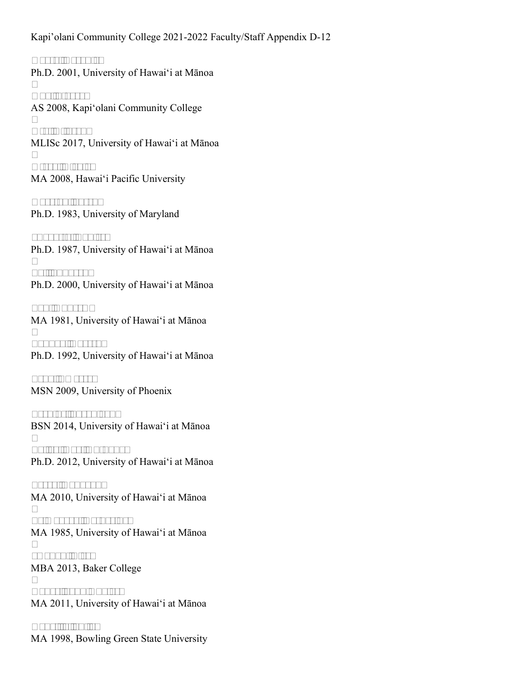**Ogata, Veronica** Ph.D. 2001, University of Hawai'i at Mānoa

**Oho, Stacey**  AS 2008, Kapi'olani Community College

**Ota, Allyson**  MLISc 2017, University of Hawai'i at Mānoa

**Otero, Nicole**  MA 2008, Hawai'i Pacific University

**Overton, Joseph** Ph.D. 1983, University of Maryland

**\*Pagotto, Louise**  Ph.D. 1987, University of Hawai'i at Mānoa

**Pai, Sunyeen**  Ph.D. 2000, University of Hawai'i at Mānoa

**Pak, Andrew**  MA 1981, University of Hawai'i at Mānoa

**Pandya, Naresh**  Ph.D. 1992, University of Hawai'i at Mānoa

**Pena, Emerson** MSN 2009, University of Phoenix

**Perkins, Sarah Jane** BSN 2014, University of Hawai'i at Mānoa

**Polley, Carl Anthony**  Ph.D. 2012, University of Hawai'i at Mānoa

**Preza, Donovan**  MA 2010, University of Hawai'i at Mānoa

**Primavera, Catherine**  MA 1985, University of Hawai'i at Mānoa

**\*Radak, Lisa**  MBA 2013, Baker College

**Rader, John Cuyler**  MA 2011, University of Hawai'i at Mānoa

**Rancilio, Julie**  MA 1998, Bowling Green State University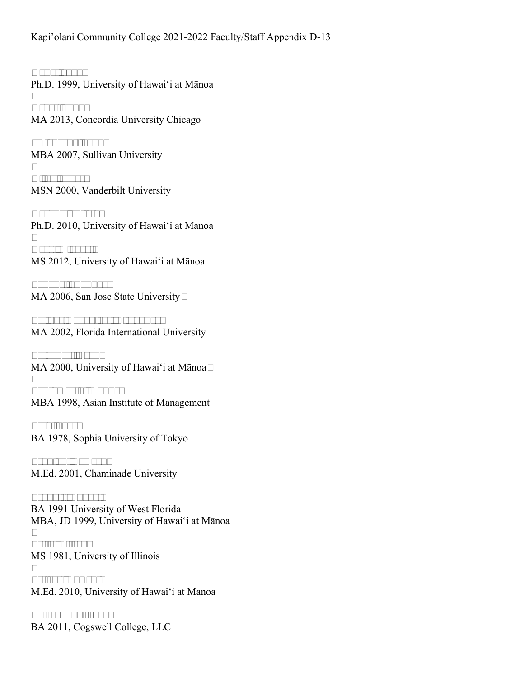**Rand, John**  Ph.D. 1999, University of Hawai'i at Mānoa

**Reyes, John**  MA 2013, Concordia University Chicago

**\*Richards, John**  MBA 2007, Sullivan University

**Riley, Joyce**  MSN 2000, Vanderbilt University

**Rosado, Julieta**  Ph.D. 2010, University of Hawai'i at Mānoa

**Ross, Michael**  MS 2012, University of Hawai'i at Mānoa

**Sakaue, Shannon**  MA 2006, San Jose State University

**Salinas Nakanishi, Alejandro**  MA 2002, Florida International University

**Salvador, Keahi** MA 2000, University of Hawai'i at Mānoa

**Santamaria, Manuel** MBA 1998, Asian Institute of Management

**Sato, Saori** BA 1978, Sophia University of Tokyo

**Scanlan, LaVache** M.Ed. 2001, Chaminade University

**Seabolt, Duane**  BA 1991 University of West Florida MBA, JD 1999, University of Hawai'i at Mānoa

**Seita, Alfred**  MS 1981, University of Illinois

**Sellers, Kawehi**  M.Ed. 2010, University of Hawai'i at Mānoa

**Shimabuku, Jake**  BA 2011, Cogswell College, LLC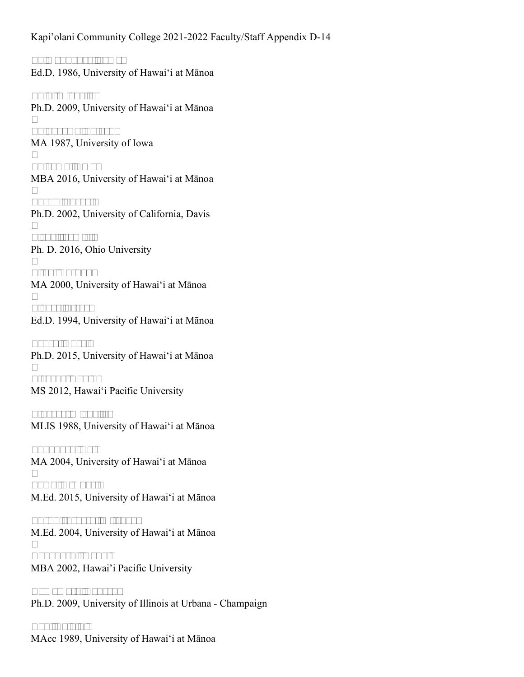**Shimabukuro, James** Ed.D. 1986, University of Hawai'i at Mānoa

**Shin, Michelle**  Ph.D. 2009, University of Hawai'i at Mānoa

**Shinagawa, Satoru**  MA 1987, University of Iowa

**Shiroma, Amy**  MBA 2016, University of Hawai'i at Mānoa

**Shook, Sheryl**  Ph.D. 2002, University of California, Davis

**Sickel, Jamie**  Ph. D. 2016, Ohio University

**Silva, Anthony** MA 2000, University of Hawai'i at Mānoa

**Singer, Steven** Ed.D. 1994, University of Hawai'i at Mānoa

**Souza, Cheri**  Ph.D. 2015, University of Hawai'i at Mānoa

**Stevens, David**  MS 2012, Hawai'i Pacific University

**Sturges, Michelle**  MLIS 1988, University of Hawai'i at Mānoa

**Sunahara, Reid** MA 2004, University of Hawai'i at Mānoa

**Suwa, Kimberly** M.Ed. 2015, University of Hawai'i at Mānoa

**Suzuki-Severa, Mitsuyo**  M.Ed. 2004, University of Hawai'i at Mānoa

**Takahashi, Ronald** MBA 2002, Hawai'i Pacific University

**Tamamoto, Lauren** Ph.D. 2009, University of Illinois at Urbana - Champaign

**Tan, Calvin**  MAcc 1989, University of Hawai'i at Mānoa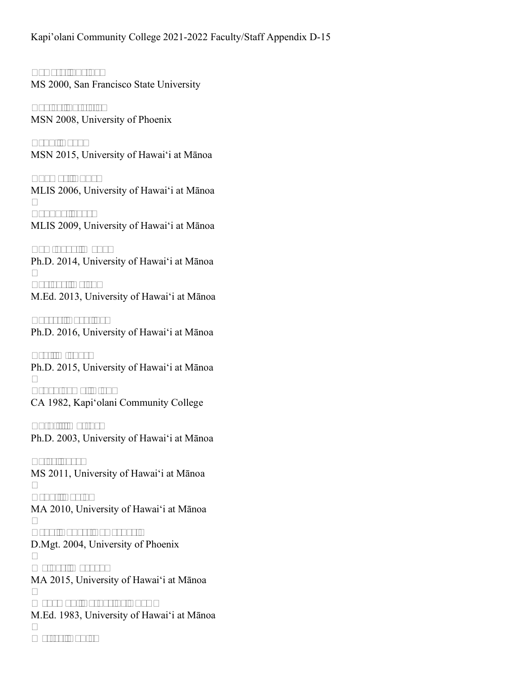**Tawata, Sheldon** MS 2000, San Francisco State University

**Taylor, Patricia**  MSN 2008, University of Phoenix

**Tenn, Ryan**  MSN 2015, University of Hawai'i at Mānoa

**Thomas, Anna**  MLIS 2006, University of Hawai'i at Mānoa

**Tokuda, Joyce** MLIS 2009, University of Hawai'i at Mānoa

**Tominaga, Waka**  Ph.D. 2014, University of Hawai'i at Mānoa

**Torigoe, Helen**  M.Ed. 2013, University of Hawai'i at Mānoa

**Torres, Caroline**  Ph.D. 2016, University of Hawai'i at Mānoa

**Tsai, Michael** Ph.D. 2015, University of Hawai'i at Mānoa

**Tsuchiyama, Alan**  CA 1982, Kapi'olani Community College

**Tuthill, Matthew** Ph.D. 2003, University of Hawai'i at Mānoa

**Tyler, Jacob** MS 2011, University of Hawai'i at Mānoa

**Uedoi, David**  MA 2010, University of Hawai'i at Mānoa

**Vega, Robert Lawrence**  D.Mgt. 2004, University of Phoenix

**Walker, Maegen**  MA 2015, University of Hawai'i at Mānoa

**Wehrman, Catherine Chow**  M.Ed. 1983, University of Hawai'i at Mānoa

**Wetter, Daniel**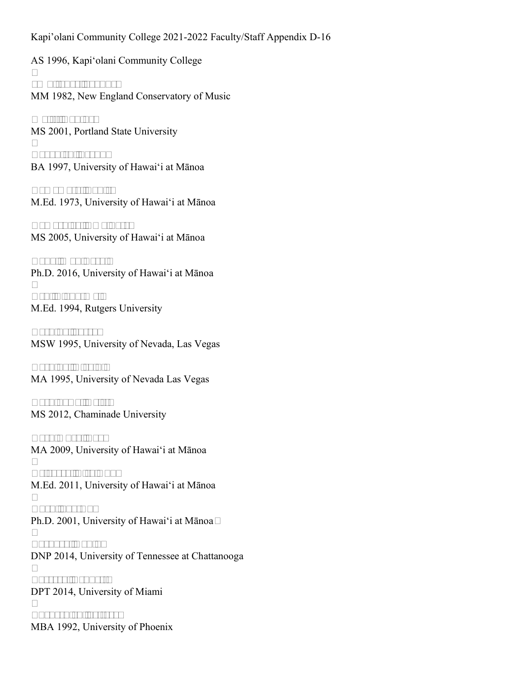AS 1996, Kapi'olani Community College

**\*Whitaker, Joanne**  MM 1982, New England Conservatory of Music

**Wolff, Nadine**  MS 2001, Portland State University

**Yagodich, Frank**  BA 1997, University of Hawai'i at Mānoa

**Yamamoto, Louise** M.Ed. 1973, University of Hawai'i at Mānoa

**Yamashiro, Amy Patz**  MS 2005, University of Hawai'i at Mānoa

**Yang, Man Beryl**  Ph.D. 2016, University of Hawai'i at Mānoa

**Yen, Liang-Mei**  M.Ed. 1994, Rutgers University

**Yoshida, Joseph** MSW 1995, University of Nevada, Las Vegas

**Yoshida, Virginia** MA 1995, University of Nevada Las Vegas

**Yoshikawa, Kristy** MS 2012, Chaminade University

**Yoshimura, Evan** MA 2009, University of Hawai'i at Mānoa

**Yrizarry, Lisa Ann**  M.Ed. 2011, University of Hawai'i at Mānoa

**Yuen, Soo-Ah**  Ph.D. 2001, University of Hawai'i at Mānoa

**Zachary, Robin**  DNP 2014, University of Tennessee at Chattanooga

**Zazzera, Bennett**  DPT 2014, University of Miami

**Zuckernick, Jeffrey**  MBA 1992, University of Phoenix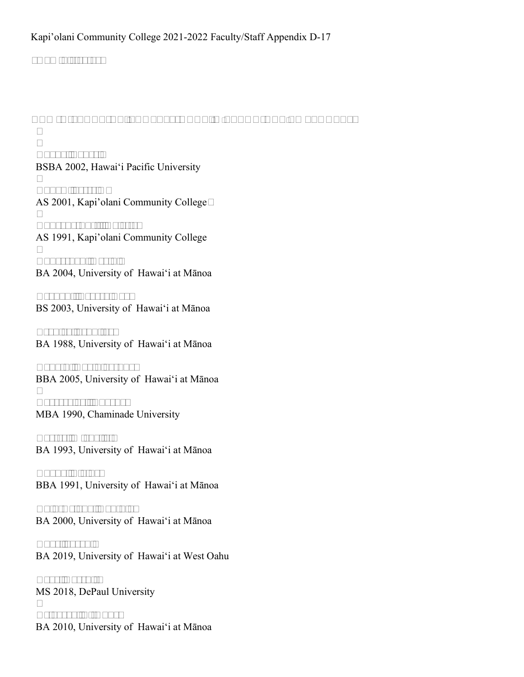#### **\*Administrator**

#### **ADMINISTRATIVE, PROFESSIONAL, & TECHNICAL EMPLOYEES**

**Akana, Lance**  BSBA 2002, Hawai'i Pacific University

**Andow, Jesse K**  AS 2001, Kapi'olani Community College

**Andrade-Fujii, Colette**  AS 1991, Kapi'olani Community College

**Andreshak, Kevin**  BA 2004, University of Hawai'i at Mānoa

**Arakaki, Tracey Ngo**  BS 2003, University of Hawai'i at Mānoa

**Bradley, Jennifer**  BA 1988, University of Hawai'i at Mānoa

**Cabatu, David Joshua**  BBA 2005, University of Hawai'i at Mānoa

**Carrero Jr., Eugene**  MBA 1990, Chaminade University

**Carter, Michelle**  BA 1993, University of Hawai'i at Mānoa

**Chang, Elaine**  BBA 1991, University of Hawai'i at Mānoa

**Chin-Delong, Cynthia**  BA 2000, University of Hawai'i at Mānoa

**Choe, Jacob**  BA 2019, University of Hawai'i at West Oahu

**Dave, Darshit**  MS 2018, DePaul University

**Delavega, Li-Anne** BA 2010, University of Hawai'i at Mānoa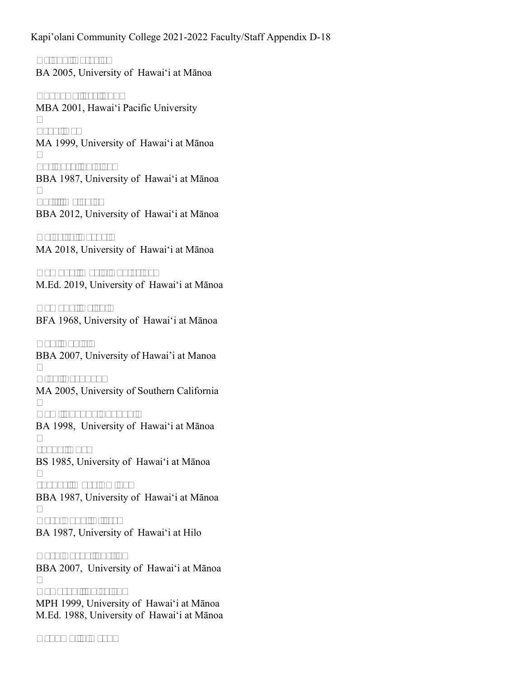**Delong, Rafaela**  BA 2005, University of Hawai'i at Mānoa

**Enokawa, Jerilynn**  MBA 2001, Hawai'i Pacific University

**Feng, Cy**  MA 1999, University of Hawai'i at Mānoa

**Fujihara, Shirley**  BBA 1987, University of Hawai'i at Mānoa

**Fujii, Melanie**  BBA 2012, University of Hawai'i at Mānoa

**Galarita, Rachel**  MA 2018, University of Hawai'i at Mānoa

**Gamboa, Maria Chaterine**  M.Ed. 2019, University of Hawai'i at Mānoa

**Hamada, Helen**  BFA 1968, University of Hawai'i at Mānoa

**Han, Daniel**  BBA 2007, University of Hawai'i at Manoa

**Higa, Brandon**  MA 2005, University of Southern California

**Hom, Shanna Puanani**  BA 1998, University of Hawai'i at Mānoa

**Inaba, Guy**  BS 1985, University of Hawai'i at Mānoa

**Inouye, Mary Emiko**  BBA 1987, University of Hawai'i at Mānoa

**Kashiwada, Alissa**  BA 1987, University of Hawai'i at Hilo

**Kashiwaeda, Justin**  BBA 2007, University of Hawai'i at Mānoa

**Kawasaki, Shiralen**  MPH 1999, University of Hawai'i at Mānoa M.Ed. 1988, University of Hawai'i at Mānoa

**Kekumu, Simeon**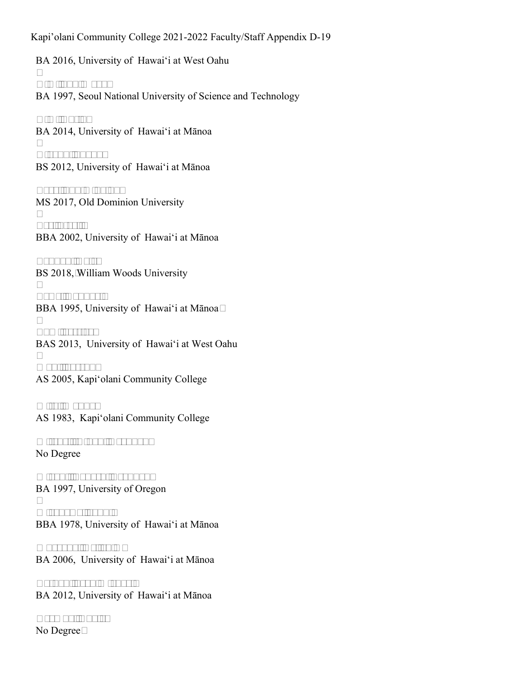BA 2016, University of Hawai'i at West Oahu

**Kim, Sun Wook**  BA 1997, Seoul National University of Science and Technology

**Kim, Yujin**  BA 2014, University of Hawai'i at Mānoa

**Kiyabu, Shaun**  BS 2012, University of Hawai'i at Mānoa

**Lazo, Sudim Salud**  MS 2017, Old Dominion University

**Lee, Staci**  BBA 2002, University of Hawai'i at Mānoa

**London, Dale**  BS 2018, William Woods University

**Lowe, Raphael**  BBA 1995, University of Hawai'i at Mānoa

**Lum, Jessica**  BAS 2013, University of Hawai'i at West Oahu

**Mahi, Joseph**  AS 2005, Kapi'olani Community College

**Mita, Wanda**  AS 1983, Kapi'olani Community College

**Mitchell-Aldan, Keauhou**  No Degree

**Miyaki, Takashi Brandon**  BA 1997, University of Oregon

**Mizokawa, John**  BBA 1978, University of Hawai'i at Mānoa

**Muraoka, Kellen H**  BA 2006, University of Hawai'i at Mānoa

**Nathan, Sean Michael**  BA 2012, University of Hawai'i at Mānoa

**Ocampo, Angie**  No Degree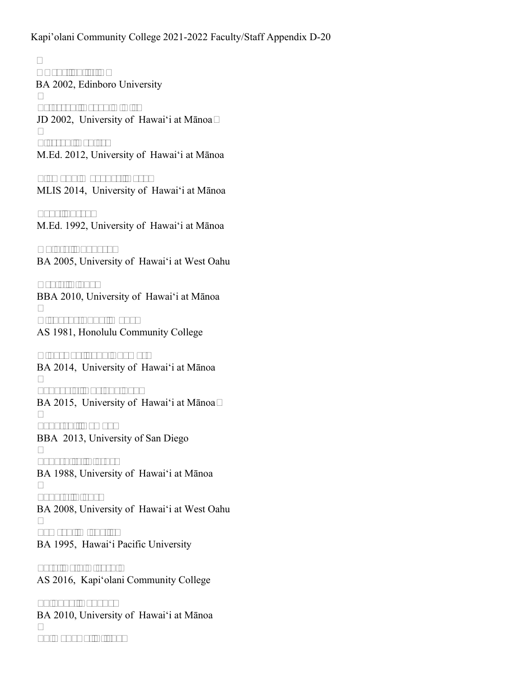**Owens, Juliet A**  BA 2002, Edinboro University

**Peterson, Devon K A I**  JD 2002, University of Hawai'i at Mānoa

**Pierson, Denise**  M.Ed. 2012, University of Hawai'i at Mānoa

**Plamann Wagoner, Kara**  MLIS 2014, University of Hawai'i at Mānoa

**Pope, Susan**  M.Ed. 1992, University of Hawai'i at Mānoa

**Quinto, Edouard**  BA 2005, University of Hawai'i at West Oahu

**Renio, Linda**  BBA 2010, University of Hawai'i at Mānoa

**Richards-Fung, Mona**  AS 1981, Honolulu Community College

**Ridgeway, John Thomas**  BA 2014, University of Hawai'i at Mānoa

**Sabagala, Adriano Pau**  BA 2015, University of Hawai'i at Mānoa

**Sabatchi, Romyn**  BBA 2013, University of San Diego

**Sakashita, Blythe**  BA 1988, University of Hawai'i at Mānoa

**Sakata, Blake**  BA 2008, University of Hawai'i at West Oahu

**Samson, Michelle**  BA 1995, Hawai'i Pacific University

**Sato, Reid Hiroshi**  AS 2016, Kapi'olani Community College

**Shibuya, Nahoko**  BA 2010, University of Hawai'i at Mānoa

**Shimokawa, Elisha**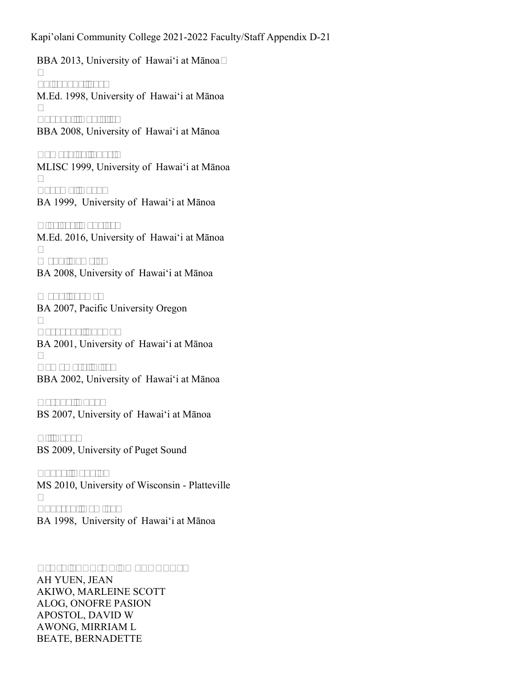BBA 2013, University of Hawai'i at Mānoa

**Shirokane, Joy**  M.Ed. 1998, University of Hawai'i at Mānoa

**Taguchi, Danielle**  BBA 2008, University of Hawai'i at Mānoa

**Tamashiro, Shari**  MLISC 1999, University of Hawai'i at Mānoa

**Toyama, Ryan** BA 1999, University of Hawai'i at Mānoa

**Viveiros, Kaprice**  M.Ed. 2016, University of Hawai'i at Mānoa

**Webb, Pamela**  BA 2008, University of Hawai'i at Mānoa

**Wong, Jayme**  BA 2007, Pacific University Oregon

**Yacavone, Shawn**  BA 2001, University of Hawai'i at Mānoa

**Yamamoto, Lisa**  BBA 2002, University of Hawai'i at Mānoa

**Yasuda, Chad**  BS 2007, University of Hawai'i at Mānoa

**Yi, Tony**  BS 2009, University of Puget Sound

**Zhang, Youxin**  MS 2010, University of Wisconsin - Platteville

**Zukeran, Damian**  BA 1998, University of Hawai'i at Mānoa

#### **CIVIL SERVICE EMPLOYEES**

AH YUEN, JEAN AKIWO, MARLEINE SCOTT ALOG, ONOFRE PASION APOSTOL, DAVID W AWONG, MIRRIAM L BEATE, BERNADETTE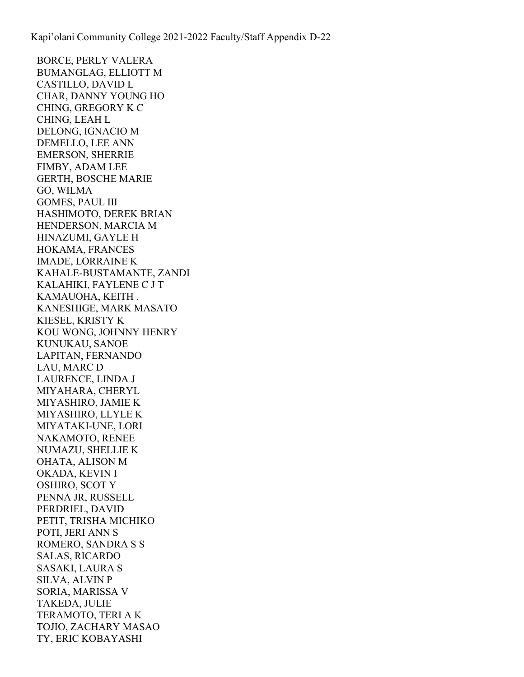BORCE, PERLY VALERA BUMANGLAG, ELLIOTT M CASTILLO, DAVID L CHAR, DANNY YOUNG HO CHING, GREGORY K C CHING, LEAH L DELONG, IGNACIO M DEMELLO, LEE ANN EMERSON, SHERRIE FIMBY, ADAM LEE GERTH, BOSCHE MARIE GO, WILMA GOMES, PAUL III HASHIMOTO, DEREK BRIAN HENDERSON, MARCIA M HINAZUMI, GAYLE H HOKAMA, FRANCES IMADE, LORRAINE K KAHALE-BUSTAMANTE, ZANDI KALAHIKI, FAYLENE C J T KAMAUOHA, KEITH . KANESHIGE, MARK MASATO KIESEL, KRISTY K KOU WONG, JOHNNY HENRY KUNUKAU, SANOE LAPITAN, FERNANDO LAU, MARC D LAURENCE, LINDA J MIYAHARA, CHERYL MIYASHIRO, JAMIE K MIYASHIRO, LLYLE K MIYATAKI-UNE, LORI NAKAMOTO, RENEE NUMAZU, SHELLIE K OHATA, ALISON M OKADA, KEVIN I OSHIRO, SCOT Y PENNA JR, RUSSELL PERDRIEL, DAVID PETIT, TRISHA MICHIKO POTI, JERI ANN S ROMERO, SANDRA S S SALAS, RICARDO SASAKI, LAURA S SILVA, ALVIN P SORIA, MARISSA V TAKEDA, JULIE TERAMOTO, TERI A K TOJIO, ZACHARY MASAO TY, ERIC KOBAYASHI